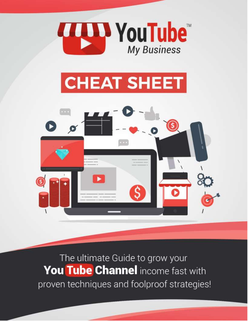

# **CHEAT SHEET**



The ultimate Guide to grow your You Tube Channel income fast with proven techniques and foolproof strategies!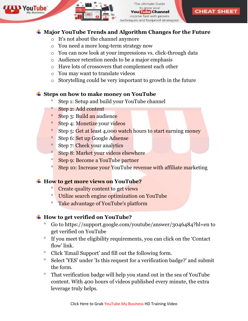



**CHEAT SHEET** 

- o It's not about the channel anymore
- o You need a more long-term strategy now
- o You can now look at your impressions vs. click-through data
- o Audience retention needs to be a major emphasis
- o Have lots of crossovers that complement each other
- o You may want to translate videos
- o Storytelling could be very important to growth in the future

### **Steps on how to make money on YouTube**

- <sup>o</sup> Step 1: Setup and build your YouTube channel
- Step 2: Add content
- <sup>o</sup> Step 3: Build an audience
- <sup>o</sup> Step 4: Monetize your videos
- <sup>o</sup> Step 5: Get at least 4,000 watch hours to start earning money
- <sup>o</sup> Step 6: Set up Google Adsense
- Step 7: Check your analytics
- <sup>o</sup> Step 8: Market your videos elsewhere
- Step 9: Become a YouTube partner
- <sup>o</sup> Step 10: Increase your YouTube revenue with affiliate marketing

# **How to get more views on YouTube?**

- Create quality content to get views
- Utilize search engine optimization on YouTube
- Take advantage of YouTube's platform

# **How to get verified on YouTube?**

- Go to https://support.google.com/youtube/answer/3046484?hl=en to get verified on YouTube
- If you meet the eligibility requirements, you can click on the 'Contact flow' link.
- ° Click 'Email Support' and fill out the following form.
- Select 'YES' under 'Is this request for a verification badge?' and submit the form.
- That verification badge will help you stand out in the sea of YouTube content. With 400 hours of videos published every minute, the extra leverage truly helps.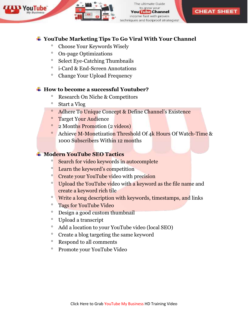

ultimate Guide to grow your **Tube Channel** ncome fast with proven iques and foolproof strategies!

**CHEAT SHEET** 

#### **YouTube Marketing Tips To Go Viral With Your Channel**

- Choose Your Keywords Wisely
- On-page Optimizations
- $\degree$  Select Eye-Catching Thumbnails
- i-Card & End-Screen Annotations
- Change Your Upload Frequency

#### **How to become a successful Youtuber?**

- Research On Niche & Competitors
- Start a Vlog
- Adhere To Unique Concept & Define Channel's Existence
- <sup>o</sup> Target Your Audience
- 2 Months Promotion (2 videos)
- <sup>o</sup> Achieve M-Monetization Threshold Of 4k Hours Of Watch-Time & 1000 Subscribers Within 12 months

#### **Modern YouTube SEO Tactics**

- <sup>o</sup> Search for video keywords in autocomplete
- <sup>o</sup> Learn the keyword's competition
- <sup>o</sup> Create your YouTube video with precision
- <sup>o</sup> Upload the YouTube video with a keyword as the file name and create a keyword rich tile
- <sup>o</sup> Write a long description with keywords, timestamps, and links
- Tags for YouTube Video
- Design a good custom thumbnail
- Upload a transcript
- Add a location to your YouTube video (local SEO)
- Create a blog targeting the same keyword
- <sup>o</sup> Respond to all comments
- Promote your YouTube Video